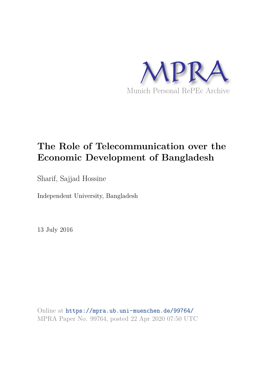

# **The Role of Telecommunication over the Economic Development of Bangladesh**

Sharif, Sajjad Hossine

Independent University, Bangladesh

13 July 2016

Online at https://mpra.ub.uni-muenchen.de/99764/ MPRA Paper No. 99764, posted 22 Apr 2020 07:50 UTC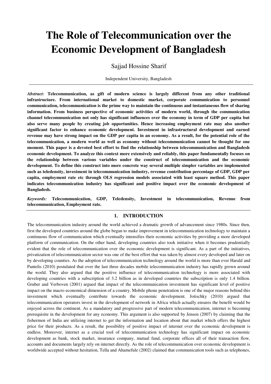# **The Role of Telecommunication over the Economic Development of Bangladesh**

Sajjad Hossine Sharif

Independent University, Bangladesh

*Abstract:* **Telecommunication, as gift of modern science is largely different from any other traditional infrastructure. From international market to domestic market, corporate communication to personnel communication, telecommunication is the prime way to maintain the continuous and instantaneous flow of sharing information. From business perspective of economic activities of modern world, through the communication channel telecommunication not only has significant influences over the economy in term of GDP per capita but also serve many people by creating job opportunities. Hence increasing employment rate may also another significant factor to enhance economic development. Investment in infrastructural development and earned revenue may have strong impact on the GDP per capita in an economy. As a result, for the potential role of the telecommunication, a modern world as well as economy without telecommunication cannot be thought for one moment. This paper is a devoted best effort to find the relationship between telecommunication and Bangladesh economic development. To analyze this context more extensively and reliably, this paper fundamentally focuses on the relationship between various variables under the construct of telecommunication and the economic development. To define this construct into more concrete way several multiple simpler variables are implemented such as teledensity, investment in telecommunication industry, revenue contribution percentage of GDP, GDP per capita, employment rate etc through OLS regression models associated with least square method. This paper indicates telecommunication industry has significant and positive impact over the economic development of Bangladesh.** 

*Keywords:* **Telecommunication, GDP, Teledensity, Investment in telecommunication, Revenue from telecommunication, Employment rate.** 

## **1. INTRODUCTION**

The telecommunication industry around the world achieved a dramatic growth of advancement since 1980s. Since then, first the developed countries around the globe began to make improvement in telecommunication technology to maintain a continuous flow of communication which eventually intensifies their economic activities by providing a more developed platform of communication. On the other hand, developing countries also took initiative when it becomes prudentially evident that the role of telecommunication over the economic development is significant. As a part of the initiatives, privatization of telecommunication sector was one of the best effort that was taken by almost every developed and later on by developing counties. As the adoption of telecommunication technology around the world is more than ever Harald and Pantelis (2010) postulated that over the last three decades mobile telecommunication industry has rapidly grown around the world. They also argued that the positive influence of telecommunication technology is more associated with developing countries with a subscription of 3.2 billion as in developed countries the subscription is only 1.4 billion. Gruber and Verboven (2001) argued that impact of the telecommunication investment has significant level of positive impact on the macro economical dimension of a country. Mobile phone penetration is one of the major reasons behind this investment which eventually contribute towards the economic development. Jotischky (2010) argued that telecommunication operators invest in the development of network in Africa which actually ensures the benefit would be enjoyed across the continent. As a mandatory and progressive part of modern telecommunication, internet is becoming prerequisite in the development for any economy. This argument is also supported by Jensen (2007) by claiming that the fishermen of India are utilizing internet to get the information and location about that market which offers the highest price for their products. As a result, the possibility of positive impact of internet over the economic development is endless. Moreover, internet as a crucial tool of telecommunication technology has significant impact on economic development as bank, stock market, insurance company, mutual fund, corporate offices all of their transaction flow, accounts and documents largely rely on internet directly. As the role of telecommunication over economic development is worldwide accepted without hesitation, Tella and Ahamefule (2002) claimed that communication tools such as telephones,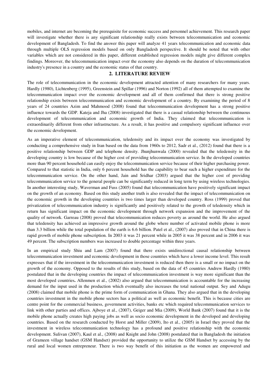mobiles, and internet are becoming the prerequisite for economic success and personnel achievement. This research paper will investigate whether there is any significant relationship really exists between telecommunication and economic development of Bangladesh. To find the answer this paper will analyze 41 years telecommunication and economic data through multiple OLS regression models based on only Bangladesh perspective. It should be noted that with other variables which are not considered in this paper, different established regression models might give different complex findings. Moreover, the telecommunication impact over the economy also depends on the duration of telecommunication industry's presence in a country and the economic status of that country.

### **2. LITERATURE REVIEW**

The role of telecommunication in the economic development attracted attention of many researchers for many years. Hardly (1980), Lichtenberg (1995), Greenstein and Spillar (1996) and Norton (1992) all of them attempted to examine the telecommunication impact over the economic development and all of them confirmed that there is strong positive relationship exists between telecommunication and economic development of a country. By examining the period of 8 years of 24 countries Azim and Mahmood (2008) found that telecommunication development has a strong positive influence towards the GDP. Kateja and Jha (2008) investigated that there is a casual relationship between the continuous development of telecommunication and economic growth of India. They claimed that telecommunication is extraordinarily different from other infrastructure. As a result, it has positive and compulsory significant influence over the economic development.

As an imperative element of telecommunication, teledensity and its impact over the economy was investigated by conducting a comprehensive study in Iran based on the data from 1960s to 2012, Sadr et al., (2012) found that there is a positive relationship between GDP and telephone density. Jhunjhunwala (2000) revealed that the teledensity in the developing country is low because of the higher cost of providing telecommunication service. In the developed countries more than 90 percent household can easily enjoy the telecommunication service because of their higher purchasing power. Compared to that statistic in India, only 6 percent household has the capability to bear such a higher expenditure for the telecommunication service. On the other hand, Jain and Sridhar (2003) argued that the higher cost of providing telecommunication service to the general people can be significantly reduced in long term by using wireless technologies. In another interesting study, Waverman and Fuss (2005) found that telecommunication have positively significant impact on the growth of an economy. Based on this study another truth is also revealed that the impact of telecommunication on the economic growth in the developing countries is two times larger than developed country. Ross (1999) proved that privatization of telecommunication industry is significantly and positively related to the growth of teledensity which in return has significant impact on the economic development through network expansion and the improvement of the quality of network. Garreau (2008) proved that telecommunication reduces poverty as around the world. He also argued that teledensity has achieved an impressive growth around the globe where number of activated mobile phone is more than 3.3 billion while the total population of the earth is 6.6 billion. Patel et al., (2007) also proved that in China there is rapid growth of mobile phone subscription. In 2003 it was 21 percent while in 2005 it was 38 percent and in 2006 it was 49 percent. The subscription numbers was increased to double percentage within three years.

In an empirical study Shiu and Lam (2007) found that there exists unidirectional causal relationship between telecommunication investment and economic development in those countries which have a lower income level. This result expresses that if the investment in the telecommunication investment is reduced then there is a small or no impact on the growth of the economy. Opposed to the results of this study, based on the data of 45 countries Andrew Hardly (1980) postulated that in the developing countries the impact of telecommunication investment is way more significant than the most developed countries**.** Allenmen et al., (2002) also argued that telecommunication is accountable for the increasing demand for the input used in the production which eventually also increases the total national output. Sey and Adugu (2008) claimed that mobile phone is the prime form of communication in Ghana. They also argued that in the developing countries investment in the mobile phone sectors has a political as well as economic benefit. This is because cities are centre point for the commercial business, government activities, banks etc which required telecommunication services to link with other parties and offices. Ajboye et al., (2007), Geiger and Mia (2009), World Bank (2007) found that it is the mobile phone actually creates high paying jobs as well as socio economic development in the developed and developing countries. Based on the research conducted by Horst and Miller (2009), Ito et al., (2005) in Israel they proved that the investment in wireless telecommunication technology has a profound and positive relationship with the economic development. Sulivan (2007), Kaul et al., (2008) and Knight and John (2008) postulated that in Bangladesh the initiation of Grameen village handset (GSM Handset) provided the opportunity to utilize the GSM Handset by accessing by the rural and local women entrepreneur. There is two way benefit of this initiation as the women are empowered and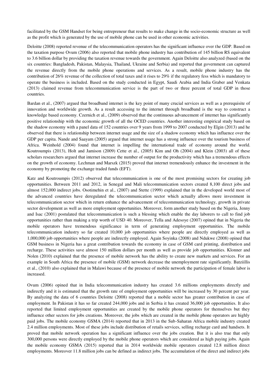facilitated by the GSM Handset for being entrepreneur that results to make change in the socio-economic structure as well as the profit which is generated by the use of mobile phone can be used in other economic activities.

Deloitte (2008) reported revenue of the telecommunication operators has the significant influence over the GDP. Based on the taxation purpose Ovum (2006) also reported that mobile phone industry has contribution of 145 billion RS equivalent to 3.6 billion dollar by providing the taxation revenue towards the government. Again Deloitte also analyzed (based on the six countries: Bangladesh, Pakistan, Malaysia, Thailand, Ukraine and Serbia) and reported that government can captured the revenue directly from the mobile phone operations and services. As a result, mobile phone industry has the contribution of 26% revenue of the collection of total taxes and it rises to 29% if the regulatory fess which is mandatory to operate the business is included. Based on the study conducted in Egypt, Saudi Arabia and India Graber and Venkata (2013) claimed revenue from telecommunication service is the part of two or three percent of total GDP in those countries.

Bardan et al., (2007) argued that broadband internet is the key point of many crucial services as well as a prerequisite of innovation and worldwide growth. As a result accessing to the internet through broadband is the way to construct a knowledge based economy. Czernich et al., (2009) observed that the continuous advancement of internet has significantly positive relationship with the economic growth of all the OCED countries. Another interesting empirical study based on the shadow economy with a panel data of 152 countries over 9 years from 1999 to 2007 conducted by Elgin (2013) and he observed that there is relationship between internet usage and the size of a shadow economy which has influence over the GDP per capita. Nande and Saayam (2005) argued that internet usage has a strong influence over the tourism business of Africa. Weinhold (2004) found that internet is impelling the international trade of economy around the world. Koutroumpis (2013), Holt and Jamison (2009) Cette et al., (2005) Kim and Oh (2004) and Klein (2003) all of these scholars researchers argued that internet increase the number of output for the productivity which has a tremendous effects on the growth of economy. Lechman and Marszk (2015) proved that internet tremendously enhance the investment in the economy by promoting the exchange traded funds (EFT).

Katz and Koutroumpis (2012) observed that telecommunication is one of the most promising sectors for creating job opportunities. Between 2011 and 2012, in Senegal and Mali telecommunication sectors created 8,100 direct jobs and almost 152,000 indirect jobs. Osotimehin et al., (2007) and Stette (1999) explained that in the developed world most of the advanced countries have deregulated the telecommunication sector which actually allows more investment in telecommunication sector which in return enhance the advancement of telecommunication technology, growth in private sector development as well as more employment opportunities. Moreover, form another study based on the Nigeria, Jenny and Isac (2001) postulated that telecommunication is such a blessing which enable the day laborers to call to find job opportunities rather than making a trip worth of USD 40. Moreover, Tella and Adesoye (2007) opined that in Nigeria the mobile operators have tremendous significance in term of generating employment opportunities. The mobile telecommunication industry so far created 10,000 job opportunities where people are directly employed as well as 1,000,000 job opportunities where people are indirectly employed. Again Soyinka (2008) and Ndukwe (2008) opined that GSM business in Nigeria has a great contribution towards the economy in case of GSM card printing, distribution and recharge. These activities save almost 150 million dollars per month as well as provide job opportunities. Klonner and Nolen (2010) explained that the presence of mobile network has the ability to create new markets and services. For an example in South Africa the presence of mobile (GSM) network decrease the unemployment rate significantly. Batziillis et al., (2010) also explained that in Malawi because of the presence of mobile network the participation of female labor is increased.

Ovum (2006) opined that in India telecommunication industry has created 3.6 millions employments directly and indirectly and it is estimated that the growth rate of employment opportunities will be increased by 30 percent per year. By analyzing the data of 6 countries Deloitte (2008) reported that a mobile sector has greater contribution in case of employment. In Pakistan it has so far created 244,000 jobs and in Serbia it has created 36,000 job opportunities. It also reported that limited employment opportunities are created by the mobile phone operators for themselves but they influence other sectors for jobs creations. Moreover, the jobs which are created in the mobile phone operators are highly paid jobs. The mobile economy GSMA (2014) reported that in 2013 in the Sub-Saharan Africa mobile industry created 2.4 million employments. Most of these jobs include distribution of retails services, selling recharge card and handsets. It proved that mobile network operation has a significant influence over the jobs creation. But it is also true that only 300,000 persons were directly employed by the mobile phone operators which are considered as high paying jobs. Again the mobile economy GSMA (2015) reported that in 2014 worldwide mobile operators created 12.8 million direct employments. Moreover 11.8 million jobs can be defined as indirect jobs. The accumulation of the direct and indirect jobs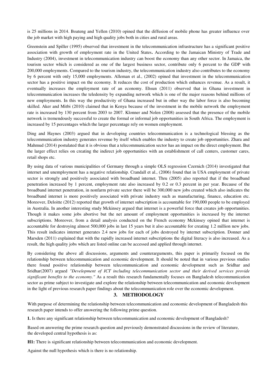is 25 millions in 2014. Boateng and Yellen (2010) opined that the diffusion of mobile phone has greater influence over the job market with high paying and high quality jobs both in cities and rural areas.

Greenstein and Spiller (1995) observed that investment in the telecommunication infrastructure has a significant positive association with growth of employment rate in the United States**.** According to the Jamaican Ministry of Trade and Industry (2004), investment in telecommunication industry can boost the economy than any other sector. In Jamaica, the tourism sector which is considered as one of the largest business sector, contribute only 6 percent to the GDP with 200,000 employments. Compared to the tourism industry, the telecommunication industry also contributes to the economy by 6 percent with only 15,000 employments. Alleman et al., (2002) opined that investment in the telecommunication sector has a positive impact on the economy. It reduces the cost of production which enhances revenue. As a result, it eventually increases the employment rate of an economy. Ehsun (2011) observed that in Ghana investment in telecommunication increases the teledensity by expanding network which is one of the major reasons behind millions of new employments. In this way the productivity of Ghana increased but in other way the labor force is also becoming skilled. Aker and Mitbi (2010) claimed that in Kenya because of the investment in the mobile network the employment rate is increased by 130 percent from 2003 to 2007. Klonner and Nolen (2008) assessed that the presence of the mobile network is tremendously successful to create the formal or informal job opportunities in South Africa. The employment is increased by 15 percentages which the larger percentage rely on women employment.

Ding and Haynes (2003) argued that in developing countries telecommunication is a technological blessing as the telecommunication industry generates revenue by itself which enables the industry to create job opportunities. Zhara and Mahmud (2014) postulated that it is obvious that a telecommunication sector has an impact on the direct employment. But the larger effect relies on creating the indirect job opportunities with an establishment of call centers, customer cares, retail shops etc.

By using data of various municipalities of Germany through a simple OLS regression Czernich (2014) investigated that internet and unemployment has a negative relationship. Crandall et al., (2006) found that in USA employment of private sector is strongly and positively associated with broadband internet. Thru (2005) also reported that if the broadband penetration increased by 1 percent, employment rate also increased by 0.2 or 0.3 percent in per year. Because of the broadband internet penetration, in nonfarm private sector there will be 300,000 new jobs created which also indicates the broadband internet is more positively associated with private industry such as manufacturing, finance, education etc. Moreover, Deloitte (2012) reported that growth of internet subscription is accountable for 190,000 people to be employed in Australia. In another interesting study Mckinsey argued that internet is a powerful force that creates job opportunities. Though it makes some jobs abortive but the net amount of employment opportunities is increased by the internet subscriptions. Moreover, from a detail analysis conducted on the French economy Mckinsey opined that internet is accountable for destroying almost 500,000 jobs in last 15 years but it also accountable for creating 1.2 million new jobs. This result indicates internet generates 2.4 new jobs for each of jobs destroyed by internet subscription. Donner and Marsden (2011) explained that with the rapidly increased internet subscriptions the digital literacy is also increased. As a result, the high quality jobs which are listed online can be accessed and applied through internet.

By considering the above all discussions, arguments and counterarguments, this paper is primarily focused on the relationship between telecommunication and economic development. It should be noted that in various previous studies there found positive relationship between telecommunication and economic development such as Sridhar and Sridhar(2007) argued *"Development of ICT including telecommunication sector and their derived services provide significant benefits to the economy."* As a result this research fundamentally focuses on Bangladesh telecommunication sector as prime subject to investigate and explore the relationship between telecommunication and economic development in the light of previous research paper findings about the telecommunication role over the economic development.

#### **3. METHODOLOGY**

With purpose of determining the relationship between telecommunication and economic development of Bangladesh this research paper intends to offer answering the following prime question.

**1.** Is there any significant relationship between telecommunication and economic development of Bangladesh?

Based on answering the prime research question and previously demonstrated discussions in the review of literature, the developed central hypothesis is as:

**H1:** There is significant relationship between telecommunication and economic development.

Against the null hypothesis which is there is no relationship.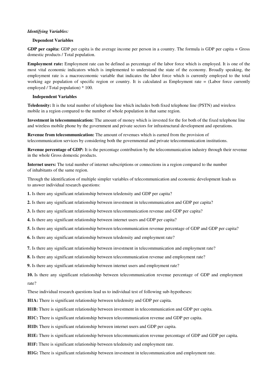#### *Identifying Variables:*

#### **Dependent Variables**

**GDP per capita:** GDP per capita is the average income per person in a country. The formula is GDP per capita = Gross domestic products / Total population.

**Employment rate:** Employment rate can be defined as percentage of the labor force which is employed. It is one of the most vital economic indicators which is implemented to understand the state of the economy. Broadly speaking, the employment rate is a macroeconomic variable that indicates the labor force which is currently employed to the total working age population of specific region or country. It is calculated as Employment rate = (Labor force currently employed / Total population) \* 100.

#### **Independent Variables**

**Teledensity:** It is the total number of telephone line which includes both fixed telephone line (PSTN) and wireless mobile in a region compared to the number of whole population in that same region.

**Investment in telecommunication:** The amount of money which is invested for the for both of the fixed telephone line and wireless mobile phone by the government and private sectors for infrastructural development and operations.

**Revenue from telecommunication:** The amount of revenues which is earned from the provision of telecommunication services by considering both the governmental and private telecommunication institutions.

**Revenue percentage of GDP:** It is the percentage contribution by the telecommunication industry through their revenue in the whole Gross domestic products.

**Internet users:** The total number of internet subscriptions or connections in a region compared to the number of inhabitants of the same region.

Through the identification of multiple simpler variables of telecommunication and economic development leads us to answer individual research questions:

**1.** Is there any significant relationship between teledensity and GDP per capita?

**2.** Is there any significant relationship between investment in telecommunication and GDP per capita?

**3.** Is there any significant relationship between telecommunication revenue and GDP per capita?

**4.** Is there any significant relationship between internet users and GDP per capita?

**5.** Is there any significant relationship between telecommunication revenue percentage of GDP and GDP per capita?

**6.** Is there any significant relationship between teledensity and employment rate?

**7.** Is there any significant relationship between investment in telecommunication and employment rate?

**8.** Is there any significant relationship between telecommunication revenue and employment rate?

**9.** Is there any significant relationship between internet users and employment rate?

**10.** Is there any significant relationship between telecommunication revenue percentage of GDP and employment rate?

These individual research questions lead us to individual test of following sub-hypotheses:

**H1A:** There is significant relationship between teledensity and GDP per capita.

**H1B:** There is significant relationship between investment in telecommunication and GDP per capita.

**H1C:** There is significant relationship between telecommunication revenue and GDP per capita.

**H1D:** There is significant relationship between internet users and GDP per capita.

**H1E:** There is significant relationship between telecommunication revenue percentage of GDP and GDP per capita.

**H1F:** There is significant relationship between teledensity and employment rate.

**H1G:** There is significant relationship between investment in telecommunication and employment rate.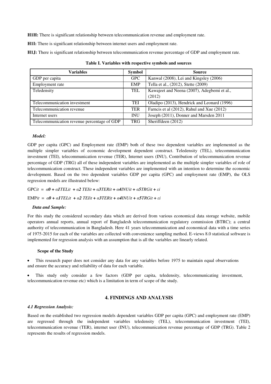**H1H:** There is significant relationship between telecommunication revenue and employment rate.

**H1I:** There is significant relationship between internet users and employment rate.

**H1J:** There is significant relationship between telecommunication revenue percentage of GDP and employment rate.

| Variables                                   | <b>Symbol</b> | <b>Source</b>                                         |
|---------------------------------------------|---------------|-------------------------------------------------------|
| GDP per capita                              | <b>GPC</b>    | Kanwal (2008), Lei and Kingsley (2006)                |
| Employment rate                             | <b>EMP</b>    | Tella et al., (2012), Stette (2009)                   |
| Teledensity                                 | TEL           | Kawajeet and Neena (2007), Adegbemi et al.,<br>(2012) |
| Telecommunication investment                | TEI           | Oladipo (2013), Hendrick and Leonard (1996)           |
| Telecommunication revenue                   | <b>TER</b>    | Farncis et al (2012), Rahul and Xue (2012)            |
| Internet users                              | <b>INU</b>    | Joseph (2011), Donner and Marsden 2011                |
| Telecommunication revenue percentage of GDP | <b>TRG</b>    | Sheriffdeen (2012)                                    |

#### *Model:*

GDP per capita (GPC) and Employment rate (EMP) both of these two dependent variables are implemented as the multiple simpler variables of economic development dependent construct. Teledensity (TEL), telecommunication investment (TEI), telecommunication revenue (TER), Internet users (INU), Contribution of telecommunication revenue percentage of GDP (TRG) all of these independent variables are implemented as the multiple simpler variables of role of telecommunication construct. These independent variables are implemented with an intention to determine the economic development. Based on the two dependent variables GDP per capita (GPC) and employment rate (EMP), the OLS regression models are illustrated below:

GPCit =  $\alpha \theta$  +  $\alpha$ ITELit +  $\alpha$ 2 TEIit +  $\alpha$ 3TERit +  $\alpha$ 4INUit +  $\alpha$ 5TRGit +  $\epsilon$ i

 $EMPi = \alpha 0 + \alpha 1 TELit + \alpha 2 TEIit + \alpha 3 TERit + \alpha 4 INUit + \alpha 5 TRGit + \epsilon i$ 

#### *Data and Sample:*

For this study the considered secondary data which are derived from various economical data storage website, mobile operators annual reports, annual report of Bangladesh telecommunication regulatory commission (BTRC); a central authority of telecommunication in Bangladesh. Here 41 years telecommunication and economical data with a time series of 1975-2015 for each of the variables are collected with convenience sampling method. E-views 8.0 statistical software is implemented for regression analysis with an assumption that is all the variables are linearly related.

#### **Scope of the Study**

• This research paper does not consider any data for any variables before 1975 to maintain equal observations and ensure the accuracy and reliability of data for each variable.

 This study only consider a few factors (GDP per capita, teledensity, telecommunicating investment, telecommunication revenue etc) which is a limitation in term of scope of the study.

#### **4. FINDINGS AND ANALYSIS**

#### *4.1 Regression Analysis:*

Based on the established two regression models dependent variables GDP per capita (GPC) and employment rate (EMP) are regressed through the independent variables teledensity (TEL), telecommunication investment (TEI), telecommunication revenue (TER), internet user (INU), telecommunication revenue percentage of GDP (TRG). Table 2 represents the results of regression models.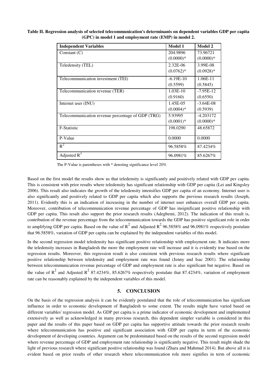| <b>Independent Variables</b>                      | Model 1      | <b>Model 2</b> |
|---------------------------------------------------|--------------|----------------|
| Constant $(C)$                                    | 204.9896     | 73.96721       |
|                                                   | $(0.0000)*$  | $(0.0000)*$    |
| Teledensity (TEL)                                 | $2.32E - 06$ | 3.99E-08       |
|                                                   | $(0.0762)*$  | $(0.0928)*$    |
| Telecommunication investment (TEI)                | $-6.19E-10$  | 1.06E-11       |
|                                                   | (0.5599)     | (0.5845)       |
| Telecommunication revenue (TER)                   | $1.03E-10$   | $-7.95E-12$    |
|                                                   | (0.9160)     | (0.6550)       |
| Internet user (INU)                               | 1.45E-05     | $-3.64E-08$    |
|                                                   | $(0.0004)*$  | (0.5939)       |
| Telecommunication revenue percentage of GDP (TRG) | 5.93995      | $-4.203172$    |
|                                                   | $(0.0001)*$  | $(0.0000)*$    |
| F-Statistic                                       | 198.0290     | 48.65872       |
| P-Value                                           | 0.0000       | 0.0000         |
| $R^2$                                             | 96.5858%     | 87.4234%       |
| Adjusted $R^2$                                    | 96.0981%     | 85.6267%       |

**Table II. Regression analysis of selected telecommunication's determinants on dependent variables GDP per capita (GPC) in model 1 and employment rate (EMP) in model 2.** 

The P-Value is parentheses with \* denoting significance level 20%

Based on the first model the results show us that teledensity is significantly and positively related with GDP per capita. This is consistent with prior results where teledensity has significant relationship with GDP per capita (Lei and Kingsley 2006). This result also indicates the growth of the teledensity intensifies GDP per capita of an economy. Internet user is also significantly and positively related to GDP per capita which also supports the previous research results (Joseph, 2011). Evidently this is an indication of increasing in the number of internet user enhances overall GDP per capita. Moreover, contribution of telecommunication revenue percentage of GDP has insignificant positive relationship with GDP per capita. This result also support the prior research results (Adegbemi, 2012). The indication of this result is, contribution of the revenue percentage from the telecommunication towards the GDP has positive significant role in order to amplifying GDP per capita. Based on the value of  $R^2$  and Adjusted  $R^2$  96.5858% and 96.0981% respectively postulate that 96.5858%, variation of GDP per capita can be explained by the independent variables of this model.

In the second regression model teledensity has significant positive relationship with employment rate. It indicates more the teledensity increases in Bangladesh the more the employment rate will increase and it is evidently true based on the regression results. Moreover, this regression result is also consistent with previous research results where significant positive relationship between teledensity and employment rate was found (Jenny and Isac 2001). The relationship between telecommunication revenue percentage of GDP and employment rate is also significant but negative. Based on the value of  $R^2$  and Adjusted  $R^2$  87.4234%, 85.6267% respectively postulate that 87.4234%, variation of employment rate can be reasonably explained by the independent variables of this model.

#### **5. CONCLUSION**

On the basis of the regression analysis it can be evidently postulated that the role of telecommunication has significant influence in order to economic development of Bangladesh to some extent. The results might have varied based on different variables' regression model. As GDP per capita is a prime indicator of economic development and implemented extensively as well as acknowledged in many previous research, this dependent simpler variable is considered in this paper and the results of this paper based on GDP per capita has supportive attitude towards the prior research results where telecommunication has positive and significant association with GDP per capita in term of the economic development of developing countries. Argument can be predominated based on the results of the second regression model where revenue percentage of GDP and employment rate relationship is significantly negative. This result might shade the light of previous research where significant positive relationship was found (Zhara and Mahmud 2014). But above all it is evident based on prior results of other research where telecommunication role more signifies in term of economic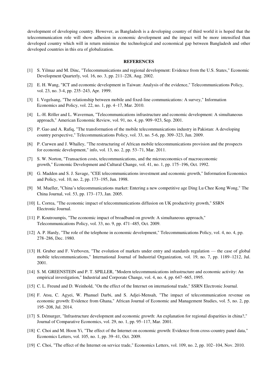development of developing country. However, as Bangladesh is a developing country of third world it is hoped that the telecommunication role will show adhesion in economic development and the impact will be more intensified than developed country which will in return minimize the technological and economical gap between Bangladesh and other developed countries in this era of globalization.

#### **REFERENCES**

- [1] S. Yilmaz and M. Dinc, "Telecommunications and regional development: Evidence from the U.S. States," Economic Development Quarterly, vol. 16, no. 3, pp. 211–228, Aug. 2002.
- [2] E. H. Wang, "ICT and economic development in Taiwan: Analysis of the evidence," Telecommunications Policy, vol. 23, no. 3-4, pp. 235–243, Apr. 1999.
- [3] I. Vogelsang, "The relationship between mobile and fixed-line communications: A survey," Information Economics and Policy, vol. 22, no. 1, pp. 4–17, Mar. 2010.
- [4] L.-H. Röller and L. Waverman, "Telecommunications infrastructure and economic development: A simultaneous approach," American Economic Review, vol. 91, no. 4, pp. 909–923, Sep. 2001.
- [5] P. Gao and A. Rafiq, "The transformation of the mobile telecommunications industry in Pakistan: A developing country perspective," Telecommunications Policy, vol. 33, no. 5-6, pp. 309–323, Jun. 2009.
- [6] P. Curwen and J. Whalley, "The restructuring of African mobile telecommunications provision and the prospects for economic development," info, vol. 13, no. 2, pp. 53–71, Mar. 2011.
- [7] S. W. Norton, "Transaction costs, telecommunications, and the microeconomics of macroeconomic growth," Economic Development and Cultural Change, vol. 41, no. 1, pp. 175–196, Oct. 1992.
- [8] G. Madden and S. J. Savage, "CEE telecommunications investment and economic growth," Information Economics and Policy, vol. 10, no. 2, pp. 173–195, Jun. 1998.
- [9] M. Mueller, "China's telecommunications market: Entering a new competitive age Ding Lu Chee Kong Wong," The China Journal, vol. 53, pp. 173–173, Jan. 2005.
- [10] L. Correa, "The economic impact of telecommunications diffusion on UK productivity growth," SSRN Electronic Journal.
- [11] P. Koutroumpis, "The economic impact of broadband on growth: A simultaneous approach," Telecommunications Policy, vol. 33, no. 9, pp. 471–485, Oct. 2009.
- [12] A. P. Hardy, "The role of the telephone in economic development," Telecommunications Policy, vol. 4, no. 4, pp. 278–286, Dec. 1980.
- [13] H. Gruber and F. Verboven, "The evolution of markets under entry and standards regulation the case of global mobile telecommunications," International Journal of Industrial Organization, vol. 19, no. 7, pp. 1189–1212, Jul. 2001.
- [14] S. M. GREENSTEIN and P. T. SPILLER, "Modern telecommunications infrastructure and economic activity: An empirical investigation," Industrial and Corporate Change, vol. 4, no. 4, pp. 647–665, 1995.
- [15] C. L. Freund and D. Weinhold, "On the effect of the Internet on international trade," SSRN Electronic Journal.
- [16] F. Atsu, C. Agyei, W. Phanuel Darbi, and S. Adjei-Mensah, "The impact of telecommunication revenue on economic growth: Evidence from Ghana," African Journal of Economic and Management Studies, vol. 5, no. 2, pp. 195–208, Jul. 2014.
- [17] S. Démurger, "Infrastructure development and economic growth: An explanation for regional disparities in china?," Journal of Comparative Economics, vol. 29, no. 1, pp. 95–117, Mar. 2001.
- [18] C. Choi and M. Hoon Yi, "The effect of the Internet on economic growth: Evidence from cross-country panel data," Economics Letters, vol. 105, no. 1, pp. 39–41, Oct. 2009.
- [19] C. Choi, "The effect of the Internet on service trade," Economics Letters, vol. 109, no. 2, pp. 102–104, Nov. 2010.